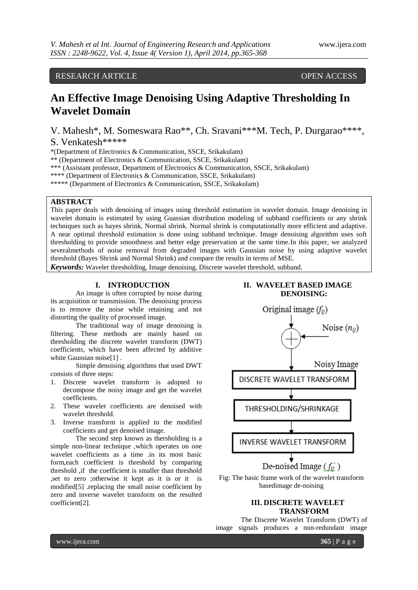RESEARCH ARTICLE OPEN ACCESS

# **An Effective Image Denoising Using Adaptive Thresholding In Wavelet Domain**

V. Mahesh\*, M. Someswara Rao\*\*, Ch. Sravani\*\*\*M. Tech, P. Durgarao\*\*\*\*, S. Venkatesh\*\*\*\*\*

\*(Department of Electronics & Communication, SSCE, Srikakulam)

\*\* (Department of Electronics & Communication, SSCE, Srikakulam)

\*\*\* (Assistant professor, Department of Electronics & Communication, SSCE, Srikakulam)

\*\*\*\* (Department of Electronics & Communication, SSCE, Srikakulam)

\*\*\*\*\* (Department of Electronics & Communication, SSCE, Srikakulam)

# **ABSTRACT**

This paper deals with denoising of images using threshold estimation in wavelet domain. Image denoising in wavelet domain is estimated by using Guassian distribution modeling of subband coefficients or any shrink techniques such as bayes shrink, Normal shrink. Normal shrink is computationally more efficient and adaptive. A near optimal threshold estimation is done using subband technique. Image denoising algorithm uses soft thresholding to provide smoothness and better edge preservation at the same time.In this paper, we analyzed severalmethods of noise removal from degraded images with Gaussian noise by using adaptive wavelet threshold (Bayes Shrink and Normal Shrink) and compare the results in terms of MSE.

*Keywords:* Wavelet thresholding, Image denoising, Discrete wavelet threshold, subband.

# **I. INTRODUCTION**

An image is often corrupted by noise during its acquisition or transmission. The denoising process is to remove the noise while retaining and not distorting the quality of processed image.

The traditional way of image denoising is filtering. These methods are mainly based on thresholding the discrete wavelet transform (DWT) coefficients, which have been affected by additive white Gaussian noise<sup>[1]</sup>.

Simple denoising algorithms that used DWT consists of three steps:

- 1. Discrete wavelet transform is adopted to decompose the noisy image and get the wavelet coefficients.
- 2. These wavelet coefficients are denoised with wavelet threshold.
- 3. Inverse transform is applied to the modified coefficients and get denoised image.

The second step known as thersholding is a simple non-linear technique ,which operates on one wavelet coefficients as a time .in its most basic form,each coefficient is threshold by comparing threshold ,if the coefficient is smaller than threshold ,set to zero ;otherwise it kept as it is or it is modified[5] .replacing the small noise coefficient by zero and inverse wavelet transform on the resulted coefficient[2].

# **II. WAVELET BASED IMAGE DENOISING:**



# **III. DISCRETE WAVELET TRANSFORM**

The Discrete Wavelet Transform (DWT) of image signals produces a non-redundant image

www.ijera.com **365** | P a g e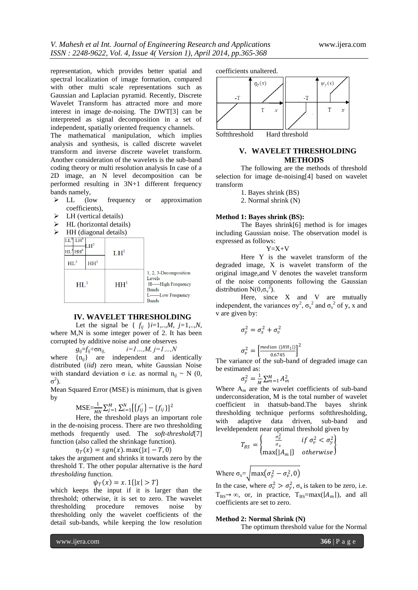representation, which provides better spatial and spectral localization of image formation, compared with other multi scale representations such as Gaussian and Laplacian pyramid. Recently, Discrete Wavelet Transform has attracted more and more interest in image de-noising. The DWT[3] can be interpreted as signal decomposition in a set of independent, spatially oriented frequency channels.

The mathematical manipulation, which implies analysis and synthesis, is called discrete wavelet transform and inverse discrete wavelet transform. Another consideration of the wavelets is the sub-band coding theory or multi resolution analysis In case of a 2D image, an N level decomposition can be performed resulting in 3N+1 different frequency bands namely,

- $\triangleright$  LL (low frequency or approximation coefficients),
- LH (vertical details)
- $\triangleright$  HL (horizontal details)
- $\triangleright$  HH (diagonal details)



#### **IV. WAVELET THRESHOLDING**

Let the signal be {  $f_{ij}$  }*i*=1,..,*M*, *j*=1,..,*N*, where M,N is some integer power of 2. It has been corrupted by additive noise and one observes

 $g_{ii} = f_{ii} + \sigma n_{ii}$ ,  $i = 1...$ ,  $M, j = 1...$ ,  $N$ 

where  $\{n_{ii}\}$  are independent and identically distributed (*iid*) zero mean, white Gaussian Noise with standard deviation σ i.e. as normal  $n_{ii} \sim N$  (0,  $σ<sup>2</sup>$ ).

Mean Squared Error (MSE) is minimum, that is given by

$$
\text{MSE} = \frac{1}{MN} \sum_{j=1}^{M} \sum_{i=1}^{N} \left[ \{ f_{ij}^{'} \} - \{ f_{ij} \} \right]^2
$$

Here, the threshold plays an important role in the de-noising process. There are two thresholding methods frequently used. The *soft-threshold*[7] function (also called the shrinkage function).

 $\eta_T(x) = sgn(x)$ . max $(|x| - T, 0)$ 

takes the argument and shrinks it towards zero by the threshold T. The other popular alternative is the *hard thresholding* function.

$$
\psi_T(x)=x.\mathbb{1}\{|x|>T\}
$$

which keeps the input if it is larger than the threshold; otherwise, it is set to zero. The wavelet thresholding procedure removes noise by thresholding only the wavelet coefficients of the detail sub-bands, while keeping the low resolution

coefficients unaltered.



Softthreshold Hard threshold

### **V. WAVELET THRESHOLDING METHODS**

The following are the methods of threshold selection for image de-noising[4] based on wavelet transform

1. Bayes shrink (BS)

2. Normal shrink (N)

#### **Method 1: Bayes shrink (BS):**

The Bayes shrink[6] method is for images including Gaussian noise. The observation model is expressed as follows:

$$
Y = X + V
$$

Here Y is the wavelet transform of the degraded image, X is wavelet transform of the original image,and V denotes the wavelet transform of the noise components following the Gaussian distribution N( $0,\sigma_v^2$ ).

Here, since X and V are mutually independent, the variances  $\sigma y^2$ ,  $\sigma_x^2$  and  $\sigma_y^2$  of y, x and v are given by:

$$
\sigma_y^2 = \sigma_x^2 + \sigma_v^2
$$

$$
\sigma_v^2 = \left[\frac{median\ (|HH_1|)}{0.6745}\right]^2
$$

The variance of the sub-band of degraded image can be estimated as:

$$
\sigma_{\mathcal{Y}}^2 = \frac{1}{M} \sum_{m=1}^M A_m^2
$$

Where  $A_m$  are the wavelet coefficients of sub-band underconsideration, M is the total number of wavelet coefficient in thatsub-band.The bayes shrink thresholding technique performs softthresholding, with adaptive data driven, sub-band and leveldependent near optimal threshold given by

$$
T_{BS} = \begin{cases} \frac{\sigma_v^2}{\sigma_x} & \text{if } \sigma_v^2 < \sigma_y^2\\ \max\{|A_m|\} & \text{otherwise} \end{cases}
$$

Where  $\sigma_{x} = \tan(\sigma_y^2 - \sigma_v^2, 0)$ 

In the case, where  $\sigma_v^2 > \sigma_y^2$ ,  $\sigma_x$  is taken to be zero, i.e.  $T_{BS} \rightarrow \infty$ , or, in practice,  $T_{BS} = max(|A_m|)$ , and all coefficients are set to zero.

#### **Method 2: Normal Shrink (N)**

The optimum threshold value for the Normal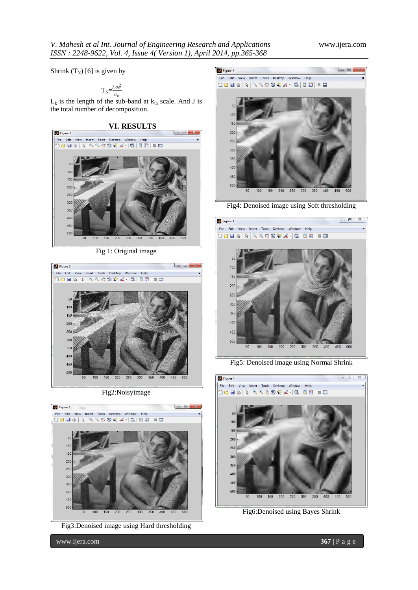Shrink  $(T_N)$  [6] is given by

$$
T_{N} = \frac{\lambda \sigma_v^2}{\sigma_v}
$$

 $L_k$  is the length of the sub-band at  $k_{th}$  scale. And J is the total number of decomposition.

**VI. RESULTS**



Fig 1: Original image



Fig2:Noisyimage



Fig3:Denoised image using Hard thresholding



Fig4: Denoised image using Soft thresholding



Fig5: Denoised image using Normal Shrink



Fig6:Denoised using Bayes Shrink

www.ijera.com **367** | P a g e